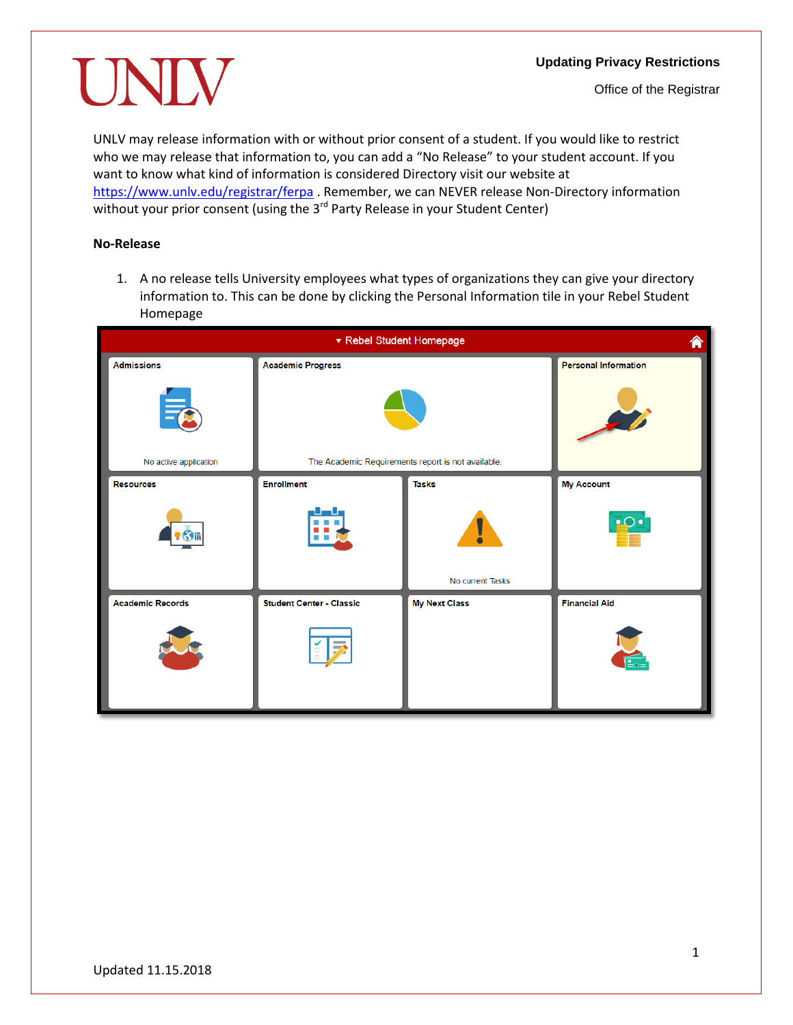#### **Updating Privacy Restrictions**

UNIV

UNLV may release information with or without prior consent of a student. If you would like to restrict who we may release that information to, you can add a "No Release" to your student account. If you want to know what kind of information is considered Directory visit our website at <https://www.unlv.edu/registrar/ferpa> . Remember, we can NEVER release Non-Directory information without your prior consent (using the  $3<sup>rd</sup>$  Party Release in your Student Center)

### **No-Release**

1. A no release tells University employees what types of organizations they can give your directory information to. This can be done by clicking the Personal Information tile in your Rebel Student Homepage

| ▼ Rebel Student Homepage<br>⋒ |                                                    |                      |                             |
|-------------------------------|----------------------------------------------------|----------------------|-----------------------------|
| <b>Admissions</b>             | <b>Academic Progress</b>                           |                      | <b>Personal Information</b> |
|                               |                                                    |                      |                             |
| No active application         | The Academic Requirements report is not available. |                      |                             |
| <b>Resources</b>              | <b>Enrollment</b>                                  | <b>Tasks</b>         | <b>My Account</b>           |
|                               | <b>The Company</b>                                 | ľ                    | $\cdot$ $\circ$ $\cdot$     |
|                               |                                                    | No current Tasks     |                             |
| <b>Academic Records</b>       | <b>Student Center - Classic</b>                    | <b>My Next Class</b> | <b>Financial Aid</b>        |
|                               | ÷                                                  |                      |                             |